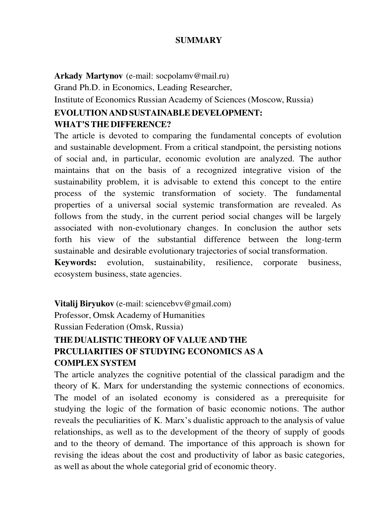#### **SUMMARY**

**Arkady Martynov** (e-mail: socpolamv@mail.ru)

Grand Ph.D. in Economics, Leading Researcher,

Institute of Economics Russian Academy of Sciences (Moscow, Russia)

## **EVOLUTION AND SUSTAINABLE DEVELOPMENT: WHAT'S THE DIFFERENCE?**

The article is devoted to comparing the fundamental concepts of evolution and sustainable development. From a critical standpoint, the persisting notions of social and, in particular, economic evolution are analyzed. The author maintains that on the basis of a recognized integrative vision of the sustainability problem, it is advisable to extend this concept to the entire process of the systemic transformation of society. The fundamental properties of a universal social systemic transformation are revealed. As follows from the study, in the current period social changes will be largely associated with non-evolutionary changes. In conclusion the author sets forth his view of the substantial difference between the long-term sustainable and desirable evolutionary trajectories of social transformation.

**Keywords:** evolution, sustainability, resilience, corporate business, ecosystem business, state agencies.

**Vitalij Biryukov** (e-mail: sciencebvv@gmail.com) Professor, Omsk Academy of Humanities Russian Federation (Omsk, Russia) **THE DUALISTIC THEORY OF VALUE AND THE** 

# **PRCULIARITIES OF STUDYING ECONOMICS AS A COMPLEX SYSTEM**

The article analyzes the cognitive potential of the classical paradigm and the theory of K. Marx for understanding the systemic connections of economics. The model of an isolated economy is considered as a prerequisite for studying the logic of the formation of basic economic notions. The author reveals the peculiarities of K. Marx's dualistic approach to the analysis of value relationships, as well as to the development of the theory of supply of goods and to the theory of demand. The importance of this approach is shown for revising the ideas about the cost and productivity of labor as basic categories, as well as about the whole categorial grid of economic theory.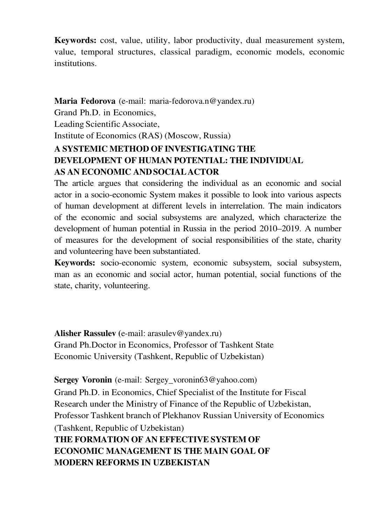**Keywords:** cost, value, utility, labor productivity, dual measurement system, value, temporal structures, classical paradigm, economic models, economic institutions.

**Maria Fedorova** (e-mail: maria-fedorova.n@yandex.ru) Grand Ph.D. in Economics, Leading Scientific Associate, Institute of Economics (RAS) (Moscow, Russia) **A SYSTEMIC METHOD OF INVESTIGATING THE DEVELOPMENT OF HUMAN POTENTIAL: THE INDIVIDUAL AS AN ECONOMIC AND SOCIAL ACTOR**

The article argues that considering the individual as an economic and social actor in a socio-economic System makes it possible to look into various aspects of human development at different levels in interrelation. The main indicators of the economic and social subsystems are analyzed, which characterize the development of human potential in Russia in the period 2010–2019. A number of measures for the development of social responsibilities of the state, charity and volunteering have been substantiated.

**Keywords:** socio-economic system, economic subsystem, social subsystem, man as an economic and social actor, human potential, social functions of the state, charity, volunteering.

**Alisher Rassulev (**e-mail: arasulev@yandex.ru) Grand Ph.Doctor in Economics, Professor of Tashkent State Economic University (Tashkent, Republic of Uzbekistan)

**Sergey Voronin** (e-mail: Sergey\_voronin63@yahoo.com) Grand Ph.D. in Economics, Chief Specialist of the Institute for Fiscal Research under the Ministry of Finance of the Republic of Uzbekistan, Professor Tashkent branch of Plekhanov Russian University of Economics (Tashkent, Republic of Uzbekistan) **THE FORMATION OF AN EFFECTIVE SYSTEM OF ECONOMIC MANAGEMENT IS THE MAIN GOAL OF MODERN REFORMS IN UZBEKISTAN**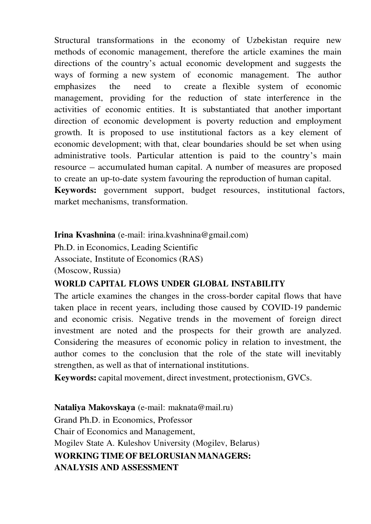Structural transformations in the economy of Uzbekistan require new methods of economic management, therefore the article examines the main directions of the country's actual economic development and suggests the ways of forming a new system of economic management. The author emphasizes the need to create a flexible system of economic management, providing for the reduction of state interference in the activities of economic entities. It is substantiated that another important direction of economic development is poverty reduction and employment growth. It is proposed to use institutional factors as a key element of economic development; with that, clear boundaries should be set when using administrative tools. Particular attention is paid to the country's main resource – accumulated human capital. A number of measures are proposed to create an up-to-date system favouring the reproduction of human capital. **Keywords:** government support, budget resources, institutional factors, market mechanisms, transformation.

**Irina Kvashnina** (e-mail: irina.kvashnina@gmail.com)

Ph.D. in Economics, Leading Scientific

Associate, Institute of Economics (RAS)

(Moscow, Russia)

### **WORLD CAPITAL FLOWS UNDER GLOBAL INSTABILITY**

The article examines the changes in the cross-border capital flows that have taken place in recent years, including those caused by COVID-19 pandemic and economic crisis. Negative trends in the movement of foreign direct investment are noted and the prospects for their growth are analyzed. Considering the measures of economic policy in relation to investment, the author comes to the conclusion that the role of the state will inevitably strengthen, as well as that of international institutions.

**Keywords:** capital movement, direct investment, protectionism, GVCs.

**Nataliya Makovskaya** (e-mail: maknata@mail.ru) Grand Ph.D. in Economics, Professor Chair of Economics and Management, Mogilev State A. Kuleshov University (Mogilev, Belarus) **WORKING TIME OF BELORUSIAN MANAGERS: ANALYSIS AND ASSESSMENT**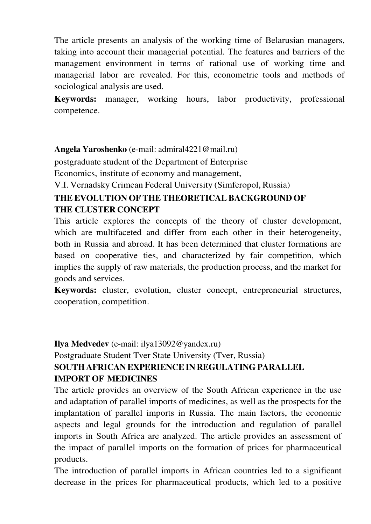The article presents an analysis of the working time of Belarusian managers, taking into account their managerial potential. The features and barriers of the management environment in terms of rational use of working time and managerial labor are revealed. For this, econometric tools and methods of sociological analysis are used.

**Keywords:** manager, working hours, labor productivity, professional competence.

**Angela Yaroshenko** (e-mail: admiral4221@mail.ru)

postgraduate student of the Department of Enterprise

Economics, institute of economy and management,

V.I. Vernadsky Crimean Federal University (Simferopol, Russia)

## **THE EVOLUTION OF THE THEORETICAL BACKGROUND OF THE CLUSTER CONCEPT**

This article explores the concepts of the theory of cluster development, which are multifaceted and differ from each other in their heterogeneity, both in Russia and abroad. It has been determined that cluster formations are based on cooperative ties, and characterized by fair competition, which implies the supply of raw materials, the production process, and the market for goods and services.

**Keywords:** cluster, evolution, cluster concept, entrepreneurial structures, cooperation, competition.

**Ilya Medvedev** (e-mail: ilya13092@yandex.ru)

## Postgraduate Student Tver State University (Tver, Russia) **SOUTH AFRICAN EXPERIENCE IN REGULATING PARALLEL IMPORT OF MEDICINES**

The article provides an overview of the South African experience in the use and adaptation of parallel imports of medicines, as well as the prospects for the implantation of parallel imports in Russia. The main factors, the economic aspects and legal grounds for the introduction and regulation of parallel imports in South Africa are analyzed. The article provides an assessment of the impact of parallel imports on the formation of prices for pharmaceutical products.

The introduction of parallel imports in African countries led to a significant decrease in the prices for pharmaceutical products, which led to a positive